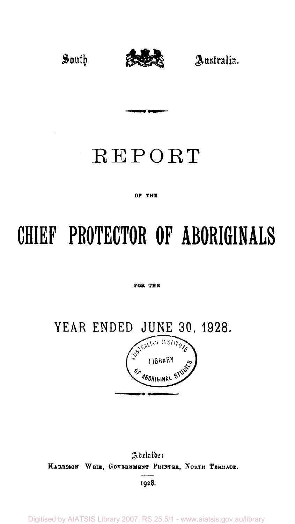

## REPORT

#### OF THE

# **PROTECTOR OF ABORIGINALS**

#### **For The**

**YEAR ENDED JUNE 30. 1928.** 



Adelaide: **Harrison WEIR , GOVERNMENT PRINTER, NORTH TERRACE** 

**1928.** 

Digitised by AIATSIS Library 2007, RS 25.5/1 - www.aiatsis.gov.au/library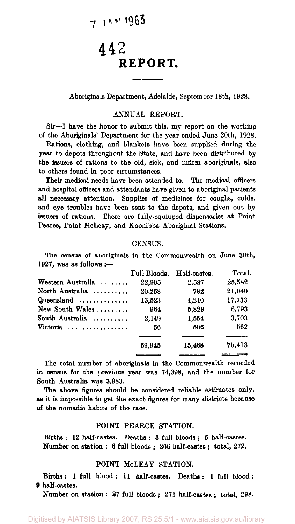## $711111963$

### 442 **REPORT.**

#### Aboriginals Department, Adelaide, September 18th, 1928.

#### ANNUAL REPORT.

Sir—I have the honor to submit this, my report on the working of the Aboriginals' Department for the year ended June 30th, 1928.

Rations, clothing, and blankets have been supplied during the year to depots throughout the State, and have been distributed by the issuers of rations to the old, sick, and infirm aboriginals, also to others found in poor circumstances.

Their medical needs have been attended to. The medical officers and hospital officers and attendants have given to aboriginal patients all necessary attention. Supplies of medicines for coughs, colds, and eye troubles have been sent to the depots, and given out by issuers of rations. There are fully-equipped dispensaries at Point Pearce, Point MoLeay, and Koonibba Aboriginal Stations,

#### CENSUS.

The census of aboriginals in the Commonwealth on June 30th, 1927, was as follows :—

|                                     | Full Bloods. | Half-castes. | Total. |
|-------------------------------------|--------------|--------------|--------|
| Western Australia                   | 22,995       | 2.587        | 25.582 |
| North Australia                     | 20,258       | 782          | 21.040 |
| Queensland $\ldots, \ldots, \ldots$ | 13,523       | 4.210        | 17.733 |
| New South Wales                     | 964          | 5,829        | 6.793  |
| South Australia                     | 2,149        | 1.554        | 3.703  |
| Victoria                            | 56           | 506          | 562    |
|                                     |              |              |        |
|                                     | 59.945       | 15.468       | 75,413 |
|                                     |              |              |        |

The total number of aboriginals in the Commonwealth recorded in census for the previous year was 74,398, and the number for South Australia was 3,983.

The above figures should be considered reliable estimates only, as it is impossible to get the exact figures for many districts because of the nomadic habits of the race.

#### POINT PEARCE STATION.

Births : 12 half-castes. Deaths : 3 full bloods ; 5 half-castes. Number on station : 6 full bloods ; 266 half-castes ; total, 272.

#### POINT MoLEAY STATION.

Births : 1 full blood ; 11 half-castes. Deaths : 1 full blood; 9 half-castes.

Number on station : 27 full bloods ; 271 half-castes ; total, 298.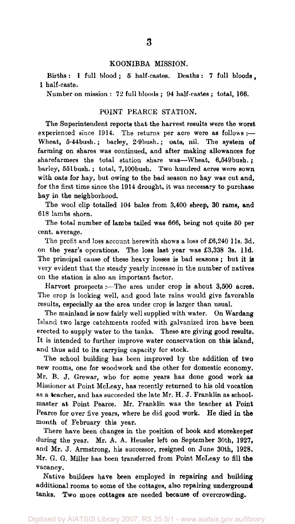#### KOONIBBA MISSION.

Births: 1 full blood; 5 half-castes. Deaths: 7 full bloods, 1 half-caste.

Number on mission : 72 full bloods ; 94 half-castes ; total, 166.

#### POINT PEARCE STATION.

The Superintendent reports that the harvest results were the worst experienced since 1914. The returns per acre were as follows :-Wheat, 5.44bush.; barley, 2'9bush.; oats, nil. The system of farming on shares was continued, and after making allowances for sharefarmers the total station share was—Wheat, 6,549bush. ; barley, 551bush. ; total, 7,100bush. Two hundred acres were sown with oats for hay, but owing to the bad season no hay was cut and, for the first time since the 1914 drought, it was necessary to purchase hay in the neighborhood.

The wool clip totalled 104 bales from 3,400 sheep, 30 rams, and 618 lambs shorn.

The total number of lambs tailed was 666, being not quite 50 per cent, average.

The profit and loss account herewith shows a loss of £6,240 11s. 3d. on the year's operations. The loss last year was £3,338 3s. l1d. The principal cause of these heavy losses is bad seasons ; but it is very evident that the steady yearly increase in the number of natives on the station is also an important factor.

Harvest prospects :—The area under crop is about 3,500 acres. The crop is looking well, and good late rains would give favorable results, especially as the area under crop is larger than usual.

The mainland is now fairly well supplied with water. On Wardang Island two large catchments roofed with galvanized iron have been erected to supply water to the tanks. These are giving good results. It is intended to further improve water conservation on this island, and thus add to its carrying capacity for stock.

The school building has been improved by the addition of two new rooms, one for woodwork and the other for domestic economy. Mr. B. J. Grewar, who for some years has done good work as Missioner at Point McLeay, has recently returned to his old vocation as a teacher, and has succeeded the late Mr. H. J. Franklin as schoolmaster at Point Pearce. Mr. Franklin was the teacher at Point Pearce for over five years, where he did good work. He died in the month of February this year.

There have been changes in the position of book and storekeeper during the year. Mr. A. A. Heusler left on September 30th, 1927, and Mr. J. Armstrong, his successor, resigned on June 30th, 1928. Mr. G. G. Miller has been transferred from Point McLeay to fill the vacancy.

Native builders have been employed in repairing and building additional rooms to some of the cottages, also repairing underground tanks. Two more cottages are needed because of overcrowding.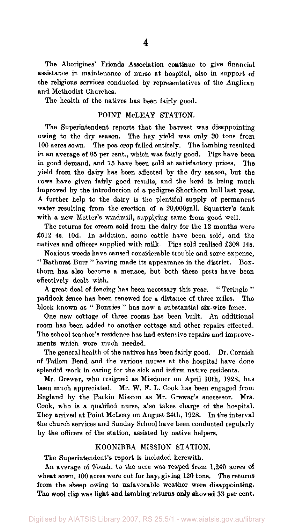The Aborigines' Friends Association continue to give financial assistance in maintenance of nurse at hospital, also in support of the religious services conducted by representatives of the Anglican and Methodist Churches.

The health of the natives has been fairly good.

#### POINT McLEAY STATION.

The Superintendent reports that the harvest was disappointing owing to the dry season. The hay yield was only 30 tons from 100 acres sown. The pea crop failed entirely. The lambing resulted in an average of 65 per cent., which was fairly good. Pigs have been in good demand, and 75 have been sold at satisfactory prices. The yield from the dairy has been affected by the dry season, but the cows have given fairly good results, and the herd is being much improved by the introduction of a pedigree Shorthorn bull last year. A further help to the dairy is the plentiful supply of permanent water resulting from the erection of a 20,000gall. Squatter's tank with a new Metter's windmill, supplying same from good well.

The returns for cream sold from the dairy for the 12 months were £512 4s. 10d. In addition, some cattle have been sold, and the natives and officers supplied with milk. Pigs sold realised £308 14s.

Noxious weeds have caused considerable trouble and some expense, " Bathurst Burr " having made its appearance in the district. Boxthorn has also become a menace, but both these pests have been effectively dealt with.

A great deal of fencing has been necessary this year. " Teringie " paddock fence has been renewed for a distance of three miles. The block known as " Bonnies " has now a substantial six-wire fence.

One new cottage of three rooms has been built. An additional room has been added to another cottage and other repairs effected. The school teacher's residence has had extensive repairs and improvements which were much needed.

The general health of the natives has been fairly good. Dr. Cornish of Tailem Bend and the various nurses at the hospital have done splendid work in caring for the sick and infirm native residents.

Mr. Grewar, who resigned as Missioner on April 10th, 1928, has been much appreciated. Mr. W. F. L. Cook has been engaged from England by the Parkin Mission as Mr. Grewar's successor. Mrs. Cook, who is a qualified nurse, also takes charge of the hospital. They arrived at Point McLeay on August 24th, 1928. In the interval the church services and Sunday School have been conducted regularly by the officers of the station, assisted by native helpers.

#### KOONIBBA MISSION STATION.

The Superintendent's report is included herewith.

An average of 9bush. to the acre was reaped from 1,240 acres of wheat sown, 100 acres were cut for hay, giving 120 tons. The returns from the sheep owing to unfavorable weather were disappointing. The wool clip was light and lambing returns only showed 33 per cent.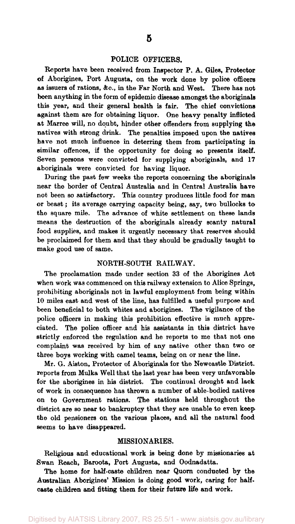#### POLICE OFFICERS.

Reports have been received from Inspector P. A. Giles, Protector of Aborigines, Port Augusta, on the work done by police officers as issuers of rations, &c, in the Far North and West. There has not been anything in the form of epidemic disease amongst the aboriginals this year, and their general health is fair. The chief convictions against them are for obtaining liquor. One heavy penalty inflicted at Marree will, no doubt, hinder other offenders from supplying the natives with strong drink. The penalties imposed upon the natives have not much influence in deterring them from participating in similar offences, if the opportunity for doing so presents itself. Seven persons were convicted for supplying aboriginals, and 17 aboriginals were convicted for having liquor.

During the past few weeks the reports concerning the aboriginals near the border of Central Australia and in Central Australia have not been so satisfactory. This country produces little food for man or beast; its average carrying capacity being, say, two bullocks to the square mile. The advance of white settlement on these lands means the destruction of the aboriginals already scanty natural food supplies, and makes it urgently necessary that reserves should be proclaimed for them and that they should be gradually taught to make good use of same.

#### NORTH-SOUTH RAILWAY.

The proclamation made under section 33 of the Aborigines Act when work was commenced on this railway extension to Alice Springs, prohibiting aboriginals not in lawful employment from being within 10 miles east and west of the line, has fulfilled a useful purpose and been beneficial to both whites and aborigines. The vigilance of the police officers in making this prohibition effective is much appreciated. The police officer and his assistants in this district have strictly enforced the regulation and he reports to me that not one complaint was received by him of any native other than two or three boys working with camel teams, being on or near the line.

Mr. G. Aiston, Protector of Aboriginals for the Newcastle District, reports from Mulka Well that the last year has been very unfavorable for the aborigines in his district. The continual drought and lack of work in consequence has thrown a number of able-bodied natives on to Government rations. The stations held throughout the district are so near to bankruptcy that they are unable to even keep the old pensioners on the various places, and all the natural food seems to have disappeared.

#### MISSIONARIES.

Religious and educational work is being done by missionaries at Swan Reach, Baroota, Port Augusta, and Oodnadatta.

The home for half-caste children near Quorn conducted by the Australian Aborigines' Mission is doing good work, caring for halfcaste children and fitting them for their future life and work.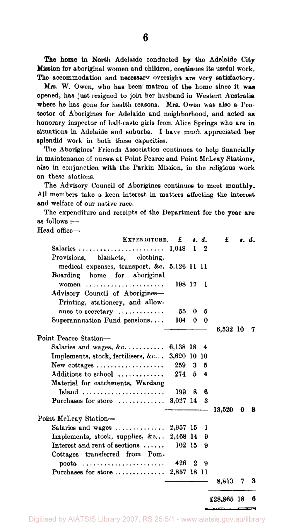The home in North Adelaide conducted by the Adelaide City Mission for aboriginal women and children, continues its useful work. The accommodation and necessary oversight are very satisfactory.

Mrs. W. Owen, who has been matron of the home since it was opened, has just resigned to join her husband in Western Australia where he has gone for health reasons. Mrs. Owen was also a Protector of Aborigines for Adelaide and neighborhood, and acted as honorary inspector of half-caste girls from Alice Springs who are in situations in Adelaide and suburbs. I have much appreciated her splendid work in both these capacities.

The Aborigines' Friends Association continues to help financially in maintenance of nurses at Point Pearce and Point McLeay Stations, also in conjunction with the Parkin Mission, in the religious work on these stations.

The Advisory Council of Aborigines continues to meet monthly. All members take a keen interest in matters affecting the interest and welfare of our native race.

The expenditure and receipts of the Department for the year are as follows :—

Head office—

| EXPENDITURE.                                                  | £           |                  | s. d.      | £        |   | <b>s.</b> d. |
|---------------------------------------------------------------|-------------|------------------|------------|----------|---|--------------|
|                                                               | 1.048       |                  | $1\quad 2$ |          |   |              |
| Provisions, blankets, clothing,                               |             |                  |            |          |   |              |
| medical expenses, transport, &c. 5,126 11 11                  |             |                  |            |          |   |              |
| Boarding home for aboriginal                                  |             |                  |            |          |   |              |
| women                                                         | 198 17      |                  | - 1        |          |   |              |
| Advisory Council of Aborigines-                               |             |                  |            |          |   |              |
| Printing, stationery, and allow-                              |             |                  |            |          |   |              |
| ance to secretary $\dots\dots\dots\dots$                      | 55          | 0                | 5          |          |   |              |
| Superannuation Fund pensions                                  | 104         | 0                | 0          |          |   |              |
|                                                               |             |                  |            | 6,532 10 |   | 7            |
| Point Pearce Station-                                         |             |                  |            |          |   |              |
| Salaries and wages, $\&c$                                     | 6,138 18    |                  | 4          |          |   |              |
| Implements, stock, fertilisers, $\&c$                         | 3,620 10 10 |                  |            |          |   |              |
| New cottages $\dots\dots\dots\dots\dots\dots$                 | $259 - 3$   |                  | 5          |          |   |              |
| Additions to school                                           | $274 - 5$   |                  | 4          |          |   |              |
| Material for catchments, Wardang                              |             |                  |            |          |   |              |
| Island $\ldots \ldots \ldots \ldots \ldots \ldots$            | 199.        | 8                | в          |          |   |              |
| Purchases for store $\dots\dots\dots\dots$                    | $3,027$ 14  |                  | - 3        |          |   |              |
|                                                               |             |                  |            | 13.520   | 0 | 8            |
| Point McLeay Station-                                         |             |                  |            |          |   |              |
| Salaries and wages $\ldots$                                   | 2,957 15    |                  | ı          |          |   |              |
| Implements, stock, supplies, $\&c$                            | 2,468 14    |                  | 9          |          |   |              |
| Interest and rent of sections $\ldots$ .                      | 102 15      |                  | 9          |          |   |              |
| Cottages transferred from Pom-                                |             |                  |            |          |   |              |
| poota                                                         | 426         | $\boldsymbol{2}$ | я          |          |   |              |
| Purchases for store $\ldots \ldots \ldots \ldots$ 2,857 18 11 |             |                  |            |          |   |              |
|                                                               |             |                  |            | 8.813    | 7 | 3            |
|                                                               |             |                  |            |          |   |              |

£28,865 18 6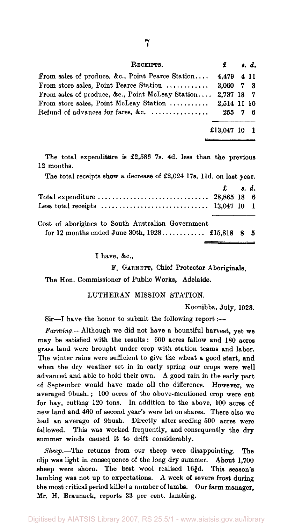| RECEIPTS.                                                   | £          | <i>s. d.</i> |  |
|-------------------------------------------------------------|------------|--------------|--|
| From sales of produce, &c., Point Pearce Station            | 4.479 4 11 |              |  |
| From store sales, Point Pearce Station  3,060 7 3           |            |              |  |
| From sales of produce, &c., Point McLeay Station 2.737 18 7 |            |              |  |
| From store sales, Point McLeay Station  2.514 11 10         |            |              |  |
| Refund of advances for fares, &c. $\ldots$                  | 255 7 6    |              |  |
|                                                             |            |              |  |

£13,047 10 1

The total expenditure is £2,586 7s. 4d. less than the previous 12 months.

The total receipts show a decrease of £2,024 17s. 11d. on last year. £ *». d.*  Total expenditure  $\ldots \ldots \ldots \ldots \ldots \ldots \ldots \ldots \ldots$  28,865 18 6 Less total receipts 13,047 10 1 Cost of aborigines to South Australian Government

|  |  | for 12 months ended June 30th, $1928$ £15,818 8 5 |  |  |
|--|--|---------------------------------------------------|--|--|

I have, &c,

F. GARNETT, Chief Protector Aboriginals.

The Hon. Commissioner of Public Works, Adelaide.

LUTHERAN MISSION STATION.

Koonibba, July, 1928.

Sir—I have the honor to submit the following report :—

*Farming.*—Although we did not have a bountiful harvest, yet we may be satisfied with the results; 600 acres fallow and 180 acres grass land were brought under crop with station teams and labor. The winter rains were sufficient to give the wheat a good start, and when the dry weather set in in early spring our crops were well advanced and able to hold their own. A good rain in the early part of September would have made all the difference. However, we averaged 9bush.; 100 acres of the above-mentioned crop were cut for hay, cutting 120 tons. In addition to the above, 100 acres of new land and 460 of second year's were let on shares. There also wo had an average of 9bush. Directly after seeding 500 acres were fallowed. This was worked frequently, and consequently the dry summer winds caused it to drift considerably.

*Sheep.*—The returns from our sheep were disappointing. The clip was light in consequence of the long dry summer. About 1,700 sheep were shorn. The best wool realised  $16\frac{3}{4}d$ . This season's lambing was not up to expectations. A week of severe frost during the most critical period killed a number of lambs. Our farm manager, Mr. H. Braunack, reports 33 per cent, lambing.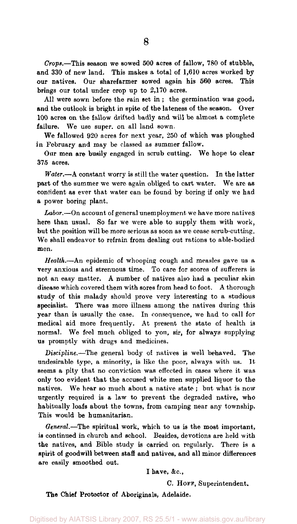*Crops.*—This season we sowed 500 acres of fallow, 780 of stubble, and 330 of new land. This makes a total of 1,610 acres worked by our natives. Our sharefarmer sowed again his 560 acres. This brings our total under crop up to 2,170 acres.

All were sown before the rain set in; the germination was good, and the outlook is bright in spite of the lateness of the season. Over 100 acres on the fallow drifted badly and will be almost a complete failure. We use super, on all land sown.

We fallowed 920 acres for next year, 250 of which was ploughed in February and may be classed as summer fallow.

Our men are busily engaged in scrub cutting. We hope to clear 375 acres.

*Water.*—A constant worry is still the water question. In the latter part of the summer we were again obliged to cart water. We are as confident as ever that water can be found by boring if only we had a power boring plant.

*Labor.*—On account of general unemployment we have more natives here than usual. So far we were able to supply them with work, but the position will be more serious as soon as we cease scrub-cutting. We shall endeavor to refrain from dealing out rations to able-bodied men.

*Health.*—An epidemic of whooping cough and measles gave us a very anxious and strenuous time. To care for scores of sufferers is not an easy matter. A number of natives also had a peculiar skin disease which covered them with sores from head to foot. A thorough study of this malady should prove very interesting to a studious specialist. There was more illness among the natives during this year than is usually the case. In consequence, we had to call for medical aid more frequently. At present the state of health is normal. We feel much obliged to you, sir, for always supplying us promptly with drugs and medicines.

*Discipline.*—The general body of natives is well behaved. The undesirable type, a minority, is like the poor, always with us. It seems a pity that no conviction was effected in cases where it was only too evident that the accused white men supplied liquor to the natives. We hear so much about a native state ; but what is now urgently required is a law to prevent the degraded native, who habitually loafs about the towns, from camping near any township. This would be humanitarian.

*General.*—The spiritual work, which to us is the most important, is continued in church and school. Besides, devotions are held with the natives, and Bible study is carried on regularly. There is a spirit of goodwill between staff and natives, and all minor differences are easily smoothed out.

I have, &c,

C. HOFF, Superintendent.

The Chief Protector of Aboriginals, Adelaide.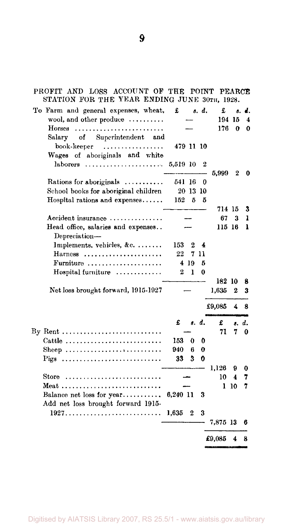PROFIT AND LOSS ACCOUNT OF THE POINT PEARCE STATION FOR THE YEAR ENDING JUNE 30TH, 1928.

| To Farm and general expenses, wheat,           | £         |                | s. d.            | £        | 8.       | d.       |
|------------------------------------------------|-----------|----------------|------------------|----------|----------|----------|
| wool, and other produce                        |           |                |                  |          | 194 15   | 4        |
| Horses                                         |           |                |                  | 176      | $\Omega$ | 0        |
| of Superintendent<br>Salary<br>and             |           |                |                  |          |          |          |
| book-keeper<br>.                               | 479 11 10 |                |                  |          |          |          |
| Wages of aboriginals and white                 |           |                |                  |          |          |          |
| laborers                                       | 5,519 10  |                | $\boldsymbol{2}$ |          |          |          |
|                                                |           |                |                  | 5,999    | 2        | 0        |
| Rations for aboriginals $\dots\dots\dots\dots$ | 541 16    |                | 0                |          |          |          |
| School books for aboriginal children           |           | 20 13 10       |                  |          |          |          |
| Hospital rations and expenses                  | 152       | 5              | 5                |          |          |          |
|                                                |           |                |                  | 714 15   |          | 3        |
| Accident insurance                             |           |                |                  | 67       | 3        | ı        |
| Head office, salaries and expenses             |           |                |                  | 115 16   |          | ı        |
| Depreciation-                                  |           |                |                  |          |          |          |
| Implements, vehicles, &c.                      | 153       | 2              | 4                |          |          |          |
| $Harness$                                      | 22        | 7.             | 11               |          |          |          |
| Furniture                                      |           | 4 19           | 5                |          |          |          |
| $Hospital$ furniture $\ldots \ldots \ldots$    | 2         | L              | 0                |          |          |          |
|                                                |           |                |                  | 182 10   |          | 8        |
| Net loss brought forward, 1915-1927            |           |                |                  | 1,635    | 2        | 3        |
|                                                |           |                |                  |          |          |          |
|                                                |           |                |                  | £9,085   | 4        | 8        |
|                                                | £         |                | s. d.            | £        |          | s. d.    |
| By Rent                                        |           |                |                  | 71       | 7        | $\bf{0}$ |
| Cattle                                         | 153       | 0              | 0                |          |          |          |
| Sheep                                          | 940       | 6              | 0                |          |          |          |
| Pigs                                           | 33        | 3              | 0                |          |          |          |
|                                                |           |                |                  | 1,126    | 9        | 0        |
| Store                                          |           |                |                  | 10       | 4        | 7        |
|                                                |           |                |                  |          | 110      | 7        |
| Balance net loss for year                      | 6,240 11  |                | 3                |          |          |          |
| Add net loss brought forward 1915-             |           |                |                  |          |          |          |
|                                                | 1,635     | $\overline{2}$ | 3                |          |          |          |
|                                                |           |                |                  | 7,875 13 |          | 6        |
|                                                |           |                |                  |          |          |          |
|                                                |           |                |                  | £9,085   | 4        | 8        |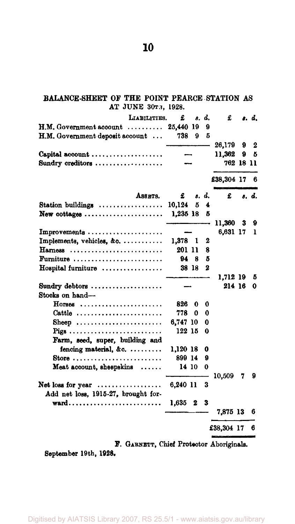#### **BALANCE-SHEET OF THE POINT PEARCE STATION AS AT JUNE 30TH, 1928.**

|                                                                 | LIABILITIES. | £         | 8.    | d.       | £          |   | s. d. |
|-----------------------------------------------------------------|--------------|-----------|-------|----------|------------|---|-------|
| $H.M. Government acoount \dots \dots$                           |              | 25,440 19 |       | 9        |            |   |       |
| H.M. Government deposit account                                 |              | 738       | 9     | 5        |            |   |       |
|                                                                 |              |           |       |          | 26,179     | 9 | 2     |
| Capital account                                                 |              |           |       |          | 11,362     | 9 | 5     |
| Sundry creditors                                                |              |           |       |          | 762 18 11  |   |       |
|                                                                 |              |           |       |          | £38,304 17 |   | 6     |
|                                                                 | ASSRTS.      | £         |       | s. d.    | £          |   | s. d. |
| Station buildings $\ldots \ldots \ldots \ldots$                 |              | 10,124    | 5     | 4        |            |   |       |
| New cottages $\ldots$                                           |              | 1,235 18  |       | 5        |            |   |       |
|                                                                 |              |           |       |          | 11,360     | 3 | 9     |
| Improvements                                                    |              |           |       |          | 6,631 17   |   | 1     |
| Implements, vehicles, $\&c. \ldots \ldots \ldots$               |              | 1,378 1   |       | 2        |            |   |       |
| Harness                                                         |              | 201 11    |       | 8        |            |   |       |
| Furniture $\ldots \ldots \ldots \ldots \ldots \ldots$           |              |           | 948   | 5        |            |   |       |
| Hospital furniture                                              |              |           | 38 18 | $\bf{2}$ |            |   |       |
|                                                                 |              |           |       |          | 1.712 19   |   | 5     |
| Sundry debtors                                                  |              |           |       |          | 214 16     |   | 0     |
| Stocks on hand-                                                 |              |           |       |          |            |   |       |
| $H$ orses                                                       |              | 826       | 0     | 0        |            |   |       |
| Cattle $\ldots \ldots \ldots \ldots \ldots \ldots \ldots$       |              | 778       | 0     | 0        |            |   |       |
| Sheep                                                           |              | 6,747 10  |       | 0        |            |   |       |
| Pigs                                                            |              | 122 15    |       | 0        |            |   |       |
| Farm, seed, super, building and                                 |              |           |       |          |            |   |       |
| fencing material, &c.                                           |              | 1.120 18  |       | 0        |            |   |       |
| Store $\ldots \ldots \ldots \ldots \ldots \ldots \ldots \ldots$ |              | 899 14    |       | 9        |            |   |       |
| Meat account, sheepskins $\ldots$ .                             |              | 14 10     |       | 0        |            |   |       |
| Net loss for year<br>Add net loss, 1915-27, brought for-        |              | 6,240 11  |       | 3        | 10,509     | 7 | 9     |
| $\textbf{ward} \dots \dots \dots \dots \dots \dots \dots \dots$ |              | 1,635     | 2     | 3        |            |   |       |
|                                                                 |              |           |       |          | 7,875 13   |   | 6     |
|                                                                 |              |           |       |          | £38,304 17 |   | 6     |
|                                                                 |              |           |       |          | فتبحط      |   |       |

**F. GARNETT, Chief Protector Aboriginals.** 

**September 19th, 1928.** 

**10**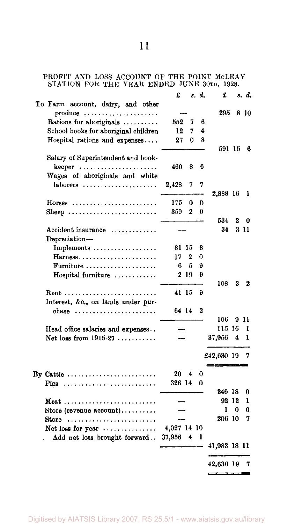### PROFIT AND LOSS ACCOUNT OF THE POINT MoLEAY STATION FOR THE YEAR ENDED JUNE 30TII, 1928.

|                                                                 | £           |       | s. d. | £            |   | s. d. |
|-----------------------------------------------------------------|-------------|-------|-------|--------------|---|-------|
| To Farm account, dairy, and other<br>produce                    |             |       |       | 295          |   | 8 10  |
| Rations for aboriginals                                         | 552         | 7     | 6     |              |   |       |
| School books for aboriginal children                            | 12          | 7     | 4     |              |   |       |
| Hospital rations and expenses                                   | 27          | 0     | 8     |              |   |       |
|                                                                 |             |       |       | 591 15       |   | 6     |
| Salary of Superintendent and book-                              |             |       |       |              |   |       |
| $keeper \dots \dots \dots \dots \dots \dots \dots$              | 460         | 8     | 6     |              |   |       |
| Wages of aboriginals and white                                  |             |       |       |              |   |       |
| laborers $\ldots \ldots \ldots \ldots \ldots$                   | 2,428       | 7     | 7     |              |   |       |
|                                                                 |             |       |       | 2,888 16     |   | 1     |
| $H$ orses                                                       | 175         | 0     | 0     |              |   |       |
| Sheep                                                           | 359         | 2     | 0     |              |   |       |
|                                                                 |             |       |       | 534          | 2 | 0     |
| Accident insurance                                              |             |       |       | 34           |   | 3 1 1 |
| Depreciation-                                                   |             |       |       |              |   |       |
| Implements                                                      |             | 81 15 | 8     |              |   |       |
|                                                                 | 17          | 2     | 0     |              |   |       |
| $\textbf{Furniture} \dots \dots \dots \dots \dots \dots \dots$  | 6           | 5     | 9     |              |   |       |
| Hospital furniture                                              |             | 219   | 9     |              |   |       |
|                                                                 |             |       |       | 108          | 3 | 2     |
|                                                                 |             | 41 15 | 9     |              |   |       |
| Interest, &c., on lands under pur-                              |             |       |       |              |   |       |
| chase $\ldots \ldots \ldots \ldots \ldots \ldots$               | 64 14       |       | 2     |              |   |       |
|                                                                 |             |       |       | 106          |   | 911   |
| Head office salaries and expenses                               |             |       |       | 115 16       |   | ı     |
| Net loss from $1915-27$                                         |             |       |       | 37,956       | 4 | ı     |
|                                                                 |             |       |       |              |   |       |
|                                                                 |             |       |       | £42,630 19   |   | 7     |
|                                                                 |             |       |       |              |   |       |
| By Cattle                                                       | 20          | 4     | 0     |              |   |       |
| $\text{Piggs}$                                                  | 326 14      |       | 0     |              |   |       |
|                                                                 |             |       |       | 346 18       |   | 0     |
|                                                                 |             |       |       | 92 12        |   | ı     |
| Store (revenue account)                                         |             |       |       | 1            | 0 | 0     |
| Store $\ldots \ldots \ldots \ldots \ldots \ldots \ldots \ldots$ |             |       |       | 206 10       |   | 7     |
| Net loss for year                                               | 4,027 14 10 |       |       |              |   |       |
| Add net loss brought forward                                    | 37,956      | 4     | ı     |              |   |       |
|                                                                 |             |       |       | 41,983 18 11 |   |       |
|                                                                 |             |       |       | 42,630 19    |   | 7     |
|                                                                 |             |       |       |              |   |       |